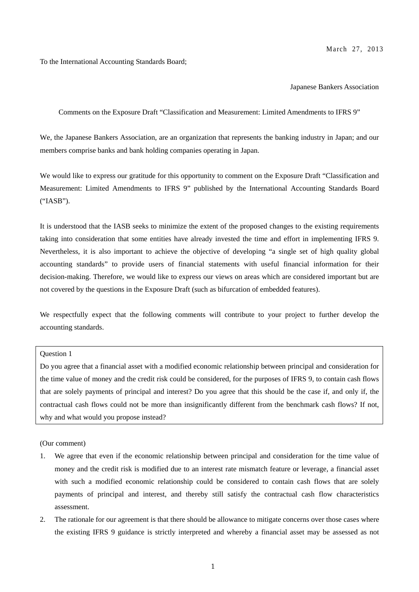To the International Accounting Standards Board;

#### Japanese Bankers Association

Comments on the Exposure Draft "Classification and Measurement: Limited Amendments to IFRS 9"

We, the Japanese Bankers Association, are an organization that represents the banking industry in Japan; and our members comprise banks and bank holding companies operating in Japan.

We would like to express our gratitude for this opportunity to comment on the Exposure Draft "Classification and Measurement: Limited Amendments to IFRS 9" published by the International Accounting Standards Board ("IASB").

It is understood that the IASB seeks to minimize the extent of the proposed changes to the existing requirements taking into consideration that some entities have already invested the time and effort in implementing IFRS 9. Nevertheless, it is also important to achieve the objective of developing "a single set of high quality global accounting standards" to provide users of financial statements with useful financial information for their decision-making. Therefore, we would like to express our views on areas which are considered important but are not covered by the questions in the Exposure Draft (such as bifurcation of embedded features).

We respectfully expect that the following comments will contribute to your project to further develop the accounting standards.

## Question 1

Do you agree that a financial asset with a modified economic relationship between principal and consideration for the time value of money and the credit risk could be considered, for the purposes of IFRS 9, to contain cash flows that are solely payments of principal and interest? Do you agree that this should be the case if, and only if, the contractual cash flows could not be more than insignificantly different from the benchmark cash flows? If not, why and what would you propose instead?

(Our comment)

- 1. We agree that even if the economic relationship between principal and consideration for the time value of money and the credit risk is modified due to an interest rate mismatch feature or leverage, a financial asset with such a modified economic relationship could be considered to contain cash flows that are solely payments of principal and interest, and thereby still satisfy the contractual cash flow characteristics assessment.
- 2. The rationale for our agreement is that there should be allowance to mitigate concerns over those cases where the existing IFRS 9 guidance is strictly interpreted and whereby a financial asset may be assessed as not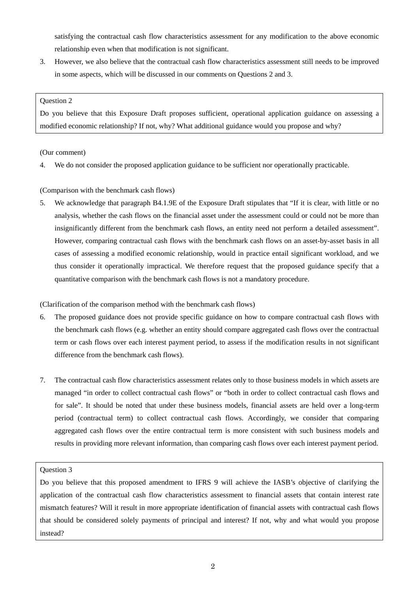satisfying the contractual cash flow characteristics assessment for any modification to the above economic relationship even when that modification is not significant.

3. However, we also believe that the contractual cash flow characteristics assessment still needs to be improved in some aspects, which will be discussed in our comments on Questions 2 and 3.

## Question 2

Do you believe that this Exposure Draft proposes sufficient, operational application guidance on assessing a modified economic relationship? If not, why? What additional guidance would you propose and why?

# (Our comment)

4. We do not consider the proposed application guidance to be sufficient nor operationally practicable.

# (Comparison with the benchmark cash flows)

5. We acknowledge that paragraph B4.1.9E of the Exposure Draft stipulates that "If it is clear, with little or no analysis, whether the cash flows on the financial asset under the assessment could or could not be more than insignificantly different from the benchmark cash flows, an entity need not perform a detailed assessment". However, comparing contractual cash flows with the benchmark cash flows on an asset-by-asset basis in all cases of assessing a modified economic relationship, would in practice entail significant workload, and we thus consider it operationally impractical. We therefore request that the proposed guidance specify that a quantitative comparison with the benchmark cash flows is not a mandatory procedure.

(Clarification of the comparison method with the benchmark cash flows)

- 6. The proposed guidance does not provide specific guidance on how to compare contractual cash flows with the benchmark cash flows (e.g. whether an entity should compare aggregated cash flows over the contractual term or cash flows over each interest payment period, to assess if the modification results in not significant difference from the benchmark cash flows).
- 7. The contractual cash flow characteristics assessment relates only to those business models in which assets are managed "in order to collect contractual cash flows" or "both in order to collect contractual cash flows and for sale". It should be noted that under these business models, financial assets are held over a long-term period (contractual term) to collect contractual cash flows. Accordingly, we consider that comparing aggregated cash flows over the entire contractual term is more consistent with such business models and results in providing more relevant information, than comparing cash flows over each interest payment period.

## Question 3

Do you believe that this proposed amendment to IFRS 9 will achieve the IASB's objective of clarifying the application of the contractual cash flow characteristics assessment to financial assets that contain interest rate mismatch features? Will it result in more appropriate identification of financial assets with contractual cash flows that should be considered solely payments of principal and interest? If not, why and what would you propose instead?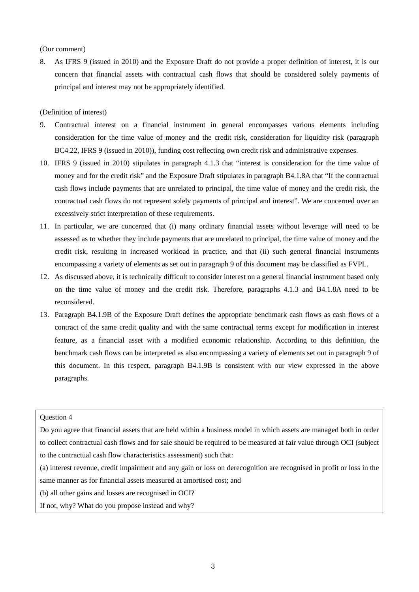(Our comment)

8. As IFRS 9 (issued in 2010) and the Exposure Draft do not provide a proper definition of interest, it is our concern that financial assets with contractual cash flows that should be considered solely payments of principal and interest may not be appropriately identified.

(Definition of interest)

- 9. Contractual interest on a financial instrument in general encompasses various elements including consideration for the time value of money and the credit risk, consideration for liquidity risk (paragraph BC4.22, IFRS 9 (issued in 2010)), funding cost reflecting own credit risk and administrative expenses.
- 10. IFRS 9 (issued in 2010) stipulates in paragraph 4.1.3 that "interest is consideration for the time value of money and for the credit risk" and the Exposure Draft stipulates in paragraph B4.1.8A that "If the contractual cash flows include payments that are unrelated to principal, the time value of money and the credit risk, the contractual cash flows do not represent solely payments of principal and interest". We are concerned over an excessively strict interpretation of these requirements.
- 11. In particular, we are concerned that (i) many ordinary financial assets without leverage will need to be assessed as to whether they include payments that are unrelated to principal, the time value of money and the credit risk, resulting in increased workload in practice, and that (ii) such general financial instruments encompassing a variety of elements as set out in paragraph 9 of this document may be classified as FVPL.
- 12. As discussed above, it is technically difficult to consider interest on a general financial instrument based only on the time value of money and the credit risk. Therefore, paragraphs 4.1.3 and B4.1.8A need to be reconsidered.
- 13. Paragraph B4.1.9B of the Exposure Draft defines the appropriate benchmark cash flows as cash flows of a contract of the same credit quality and with the same contractual terms except for modification in interest feature, as a financial asset with a modified economic relationship. According to this definition, the benchmark cash flows can be interpreted as also encompassing a variety of elements set out in paragraph 9 of this document. In this respect, paragraph B4.1.9B is consistent with our view expressed in the above paragraphs.

## Question 4

Do you agree that financial assets that are held within a business model in which assets are managed both in order to collect contractual cash flows and for sale should be required to be measured at fair value through OCI (subject to the contractual cash flow characteristics assessment) such that:

(a) interest revenue, credit impairment and any gain or loss on derecognition are recognised in profit or loss in the same manner as for financial assets measured at amortised cost; and

(b) all other gains and losses are recognised in OCI?

If not, why? What do you propose instead and why?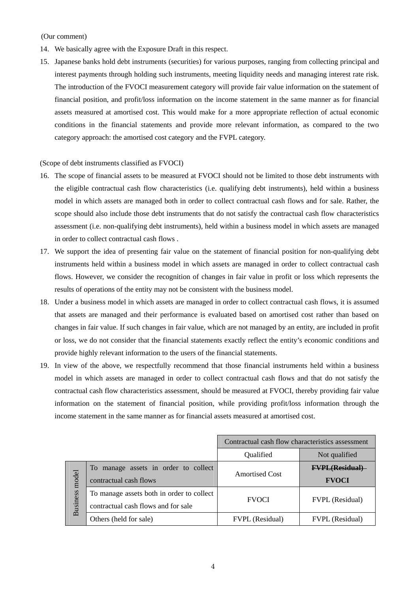## (Our comment)

- 14. We basically agree with the Exposure Draft in this respect.
- 15. Japanese banks hold debt instruments (securities) for various purposes, ranging from collecting principal and interest payments through holding such instruments, meeting liquidity needs and managing interest rate risk. The introduction of the FVOCI measurement category will provide fair value information on the statement of financial position, and profit/loss information on the income statement in the same manner as for financial assets measured at amortised cost. This would make for a more appropriate reflection of actual economic conditions in the financial statements and provide more relevant information, as compared to the two category approach: the amortised cost category and the FVPL category.

## (Scope of debt instruments classified as FVOCI)

- 16. The scope of financial assets to be measured at FVOCI should not be limited to those debt instruments with the eligible contractual cash flow characteristics (i.e. qualifying debt instruments), held within a business model in which assets are managed both in order to collect contractual cash flows and for sale. Rather, the scope should also include those debt instruments that do not satisfy the contractual cash flow characteristics assessment (i.e. non-qualifying debt instruments), held within a business model in which assets are managed in order to collect contractual cash flows .
- 17. We support the idea of presenting fair value on the statement of financial position for non-qualifying debt instruments held within a business model in which assets are managed in order to collect contractual cash flows. However, we consider the recognition of changes in fair value in profit or loss which represents the results of operations of the entity may not be consistent with the business model.
- 18. Under a business model in which assets are managed in order to collect contractual cash flows, it is assumed that assets are managed and their performance is evaluated based on amortised cost rather than based on changes in fair value. If such changes in fair value, which are not managed by an entity, are included in profit or loss, we do not consider that the financial statements exactly reflect the entity's economic conditions and provide highly relevant information to the users of the financial statements.
- 19. In view of the above, we respectfully recommend that those financial instruments held within a business model in which assets are managed in order to collect contractual cash flows and that do not satisfy the contractual cash flow characteristics assessment, should be measured at FVOCI, thereby providing fair value information on the statement of financial position, while providing profit/loss information through the income statement in the same manner as for financial assets measured at amortised cost.

|                          |                                           | Contractual cash flow characteristics assessment |                        |
|--------------------------|-------------------------------------------|--------------------------------------------------|------------------------|
|                          |                                           | Qualified                                        | Not qualified          |
| model<br><b>Business</b> | To manage assets in order to collect      | <b>Amortised Cost</b>                            | <b>FVPL</b> (Residual  |
|                          | contractual cash flows                    |                                                  | <b>FVOCI</b>           |
|                          | To manage assets both in order to collect | <b>FVOCI</b>                                     | <b>FVPL</b> (Residual) |
|                          | contractual cash flows and for sale       |                                                  |                        |
|                          | Others (held for sale)                    | <b>FVPL</b> (Residual)                           | <b>FVPL</b> (Residual) |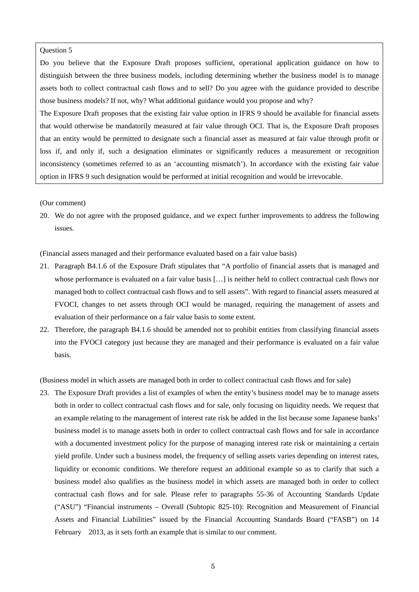## Question 5

Do you believe that the Exposure Draft proposes sufficient, operational application guidance on how to distinguish between the three business models, including determining whether the business model is to manage assets both to collect contractual cash flows and to sell? Do you agree with the guidance provided to describe those business models? If not, why? What additional guidance would you propose and why?

The Exposure Draft proposes that the existing fair value option in IFRS 9 should be available for financial assets that would otherwise be mandatorily measured at fair value through OCI. That is, the Exposure Draft proposes that an entity would be permitted to designate such a financial asset as measured at fair value through profit or loss if, and only if, such a designation eliminates or significantly reduces a measurement or recognition inconsistency (sometimes referred to as an 'accounting mismatch'). In accordance with the existing fair value option in IFRS 9 such designation would be performed at initial recognition and would be irrevocable.

## (Our comment)

20. We do not agree with the proposed guidance, and we expect further improvements to address the following issues.

(Financial assets managed and their performance evaluated based on a fair value basis)

- 21. Paragraph B4.1.6 of the Exposure Draft stipulates that "A portfolio of financial assets that is managed and whose performance is evaluated on a fair value basis [...] is neither held to collect contractual cash flows nor managed both to collect contractual cash flows and to sell assets". With regard to financial assets measured at FVOCI, changes to net assets through OCI would be managed, requiring the management of assets and evaluation of their performance on a fair value basis to some extent.
- 22. Therefore, the paragraph B4.1.6 should be amended not to prohibit entities from classifying financial assets into the FVOCI category just because they are managed and their performance is evaluated on a fair value basis.

(Business model in which assets are managed both in order to collect contractual cash flows and for sale)

23. The Exposure Draft provides a list of examples of when the entity's business model may be to manage assets both in order to collect contractual cash flows and for sale, only focusing on liquidity needs. We request that an example relating to the management of interest rate risk be added in the list because some Japanese banks' business model is to manage assets both in order to collect contractual cash flows and for sale in accordance with a documented investment policy for the purpose of managing interest rate risk or maintaining a certain yield profile. Under such a business model, the frequency of selling assets varies depending on interest rates, liquidity or economic conditions. We therefore request an additional example so as to clarify that such a business model also qualifies as the business model in which assets are managed both in order to collect contractual cash flows and for sale. Please refer to paragraphs 55-36 of Accounting Standards Update ("ASU") "Financial instruments – Overall (Subtopic 825-10): Recognition and Measurement of Financial Assets and Financial Liabilities" issued by the Financial Accounting Standards Board ("FASB") on 14 February 2013, as it sets forth an example that is similar to our comment.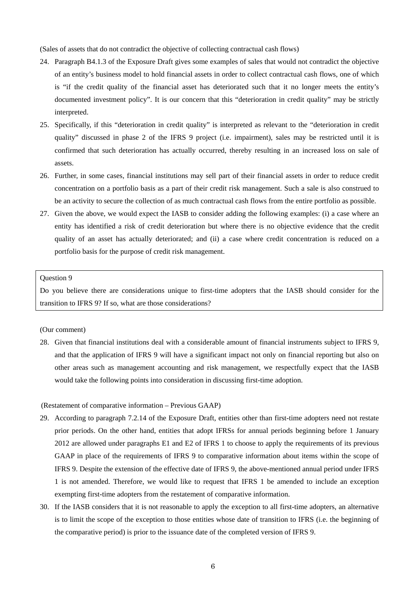(Sales of assets that do not contradict the objective of collecting contractual cash flows)

- 24. Paragraph B4.1.3 of the Exposure Draft gives some examples of sales that would not contradict the objective of an entity's business model to hold financial assets in order to collect contractual cash flows, one of which is "if the credit quality of the financial asset has deteriorated such that it no longer meets the entity's documented investment policy". It is our concern that this "deterioration in credit quality" may be strictly interpreted.
- 25. Specifically, if this "deterioration in credit quality" is interpreted as relevant to the "deterioration in credit quality" discussed in phase 2 of the IFRS 9 project (i.e. impairment), sales may be restricted until it is confirmed that such deterioration has actually occurred, thereby resulting in an increased loss on sale of assets.
- 26. Further, in some cases, financial institutions may sell part of their financial assets in order to reduce credit concentration on a portfolio basis as a part of their credit risk management. Such a sale is also construed to be an activity to secure the collection of as much contractual cash flows from the entire portfolio as possible.
- 27. Given the above, we would expect the IASB to consider adding the following examples: (i) a case where an entity has identified a risk of credit deterioration but where there is no objective evidence that the credit quality of an asset has actually deteriorated; and (ii) a case where credit concentration is reduced on a portfolio basis for the purpose of credit risk management.

#### Question 9

Do you believe there are considerations unique to first-time adopters that the IASB should consider for the transition to IFRS 9? If so, what are those considerations?

## (Our comment)

28. Given that financial institutions deal with a considerable amount of financial instruments subject to IFRS 9, and that the application of IFRS 9 will have a significant impact not only on financial reporting but also on other areas such as management accounting and risk management, we respectfully expect that the IASB would take the following points into consideration in discussing first-time adoption.

#### (Restatement of comparative information – Previous GAAP)

- 29. According to paragraph 7.2.14 of the Exposure Draft, entities other than first-time adopters need not restate prior periods. On the other hand, entities that adopt IFRSs for annual periods beginning before 1 January 2012 are allowed under paragraphs E1 and E2 of IFRS 1 to choose to apply the requirements of its previous GAAP in place of the requirements of IFRS 9 to comparative information about items within the scope of IFRS 9. Despite the extension of the effective date of IFRS 9, the above-mentioned annual period under IFRS 1 is not amended. Therefore, we would like to request that IFRS 1 be amended to include an exception exempting first-time adopters from the restatement of comparative information.
- 30. If the IASB considers that it is not reasonable to apply the exception to all first-time adopters, an alternative is to limit the scope of the exception to those entities whose date of transition to IFRS (i.e. the beginning of the comparative period) is prior to the issuance date of the completed version of IFRS 9.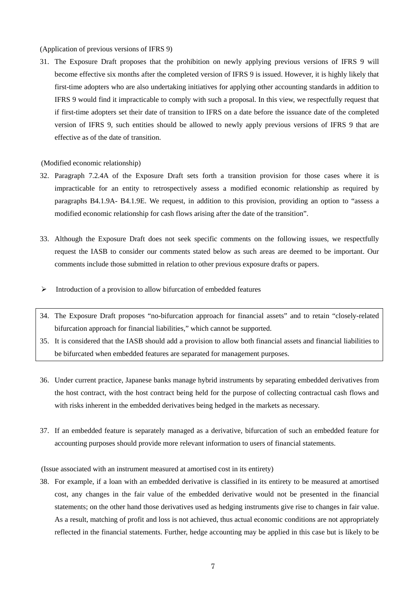(Application of previous versions of IFRS 9)

31. The Exposure Draft proposes that the prohibition on newly applying previous versions of IFRS 9 will become effective six months after the completed version of IFRS 9 is issued. However, it is highly likely that first-time adopters who are also undertaking initiatives for applying other accounting standards in addition to IFRS 9 would find it impracticable to comply with such a proposal. In this view, we respectfully request that if first-time adopters set their date of transition to IFRS on a date before the issuance date of the completed version of IFRS 9, such entities should be allowed to newly apply previous versions of IFRS 9 that are effective as of the date of transition.

## (Modified economic relationship)

- 32. Paragraph 7.2.4A of the Exposure Draft sets forth a transition provision for those cases where it is impracticable for an entity to retrospectively assess a modified economic relationship as required by paragraphs B4.1.9A- B4.1.9E. We request, in addition to this provision, providing an option to "assess a modified economic relationship for cash flows arising after the date of the transition".
- 33. Although the Exposure Draft does not seek specific comments on the following issues, we respectfully request the IASB to consider our comments stated below as such areas are deemed to be important. Our comments include those submitted in relation to other previous exposure drafts or papers.
- $\triangleright$  Introduction of a provision to allow bifurcation of embedded features
- 34. The Exposure Draft proposes "no-bifurcation approach for financial assets" and to retain "closely-related bifurcation approach for financial liabilities," which cannot be supported.
- 35. It is considered that the IASB should add a provision to allow both financial assets and financial liabilities to be bifurcated when embedded features are separated for management purposes.
- 36. Under current practice, Japanese banks manage hybrid instruments by separating embedded derivatives from the host contract, with the host contract being held for the purpose of collecting contractual cash flows and with risks inherent in the embedded derivatives being hedged in the markets as necessary.
- 37. If an embedded feature is separately managed as a derivative, bifurcation of such an embedded feature for accounting purposes should provide more relevant information to users of financial statements.

(Issue associated with an instrument measured at amortised cost in its entirety)

38. For example, if a loan with an embedded derivative is classified in its entirety to be measured at amortised cost, any changes in the fair value of the embedded derivative would not be presented in the financial statements; on the other hand those derivatives used as hedging instruments give rise to changes in fair value. As a result, matching of profit and loss is not achieved, thus actual economic conditions are not appropriately reflected in the financial statements. Further, hedge accounting may be applied in this case but is likely to be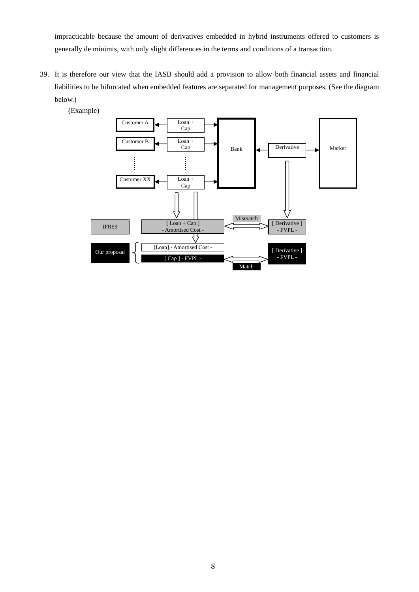impracticable because the amount of derivatives embedded in hybrid instruments offered to customers is generally de minimis, with only slight differences in the terms and conditions of a transaction.

39. It is therefore our view that the IASB should add a provision to allow both financial assets and financial liabilities to be bifurcated when embedded features are separated for management purposes. (See the diagram below.)



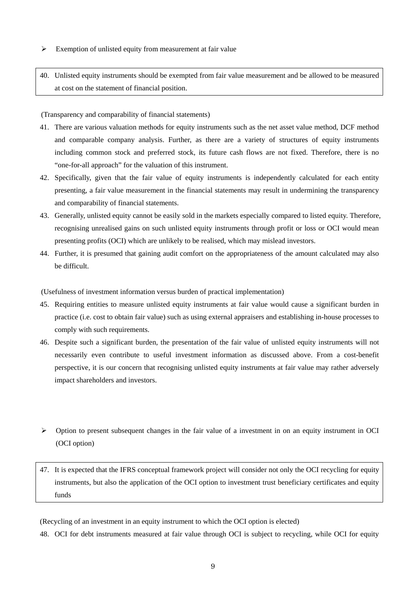$\triangleright$  Exemption of unlisted equity from measurement at fair value

40. Unlisted equity instruments should be exempted from fair value measurement and be allowed to be measured at cost on the statement of financial position.

(Transparency and comparability of financial statements)

- 41. There are various valuation methods for equity instruments such as the net asset value method, DCF method and comparable company analysis. Further, as there are a variety of structures of equity instruments including common stock and preferred stock, its future cash flows are not fixed. Therefore, there is no "one-for-all approach" for the valuation of this instrument.
- 42. Specifically, given that the fair value of equity instruments is independently calculated for each entity presenting, a fair value measurement in the financial statements may result in undermining the transparency and comparability of financial statements.
- 43. Generally, unlisted equity cannot be easily sold in the markets especially compared to listed equity. Therefore, recognising unrealised gains on such unlisted equity instruments through profit or loss or OCI would mean presenting profits (OCI) which are unlikely to be realised, which may mislead investors.
- 44. Further, it is presumed that gaining audit comfort on the appropriateness of the amount calculated may also be difficult.

(Usefulness of investment information versus burden of practical implementation)

- 45. Requiring entities to measure unlisted equity instruments at fair value would cause a significant burden in practice (i.e. cost to obtain fair value) such as using external appraisers and establishing in-house processes to comply with such requirements.
- 46. Despite such a significant burden, the presentation of the fair value of unlisted equity instruments will not necessarily even contribute to useful investment information as discussed above. From a cost-benefit perspective, it is our concern that recognising unlisted equity instruments at fair value may rather adversely impact shareholders and investors.
- $\triangleright$  Option to present subsequent changes in the fair value of a investment in on an equity instrument in OCI (OCI option)
- 47. It is expected that the IFRS conceptual framework project will consider not only the OCI recycling for equity instruments, but also the application of the OCI option to investment trust beneficiary certificates and equity funds

(Recycling of an investment in an equity instrument to which the OCI option is elected)

48. OCI for debt instruments measured at fair value through OCI is subject to recycling, while OCI for equity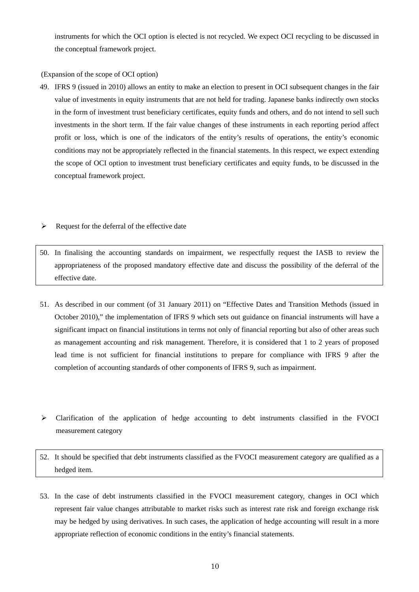instruments for which the OCI option is elected is not recycled. We expect OCI recycling to be discussed in the conceptual framework project.

(Expansion of the scope of OCI option)

- 49. IFRS 9 (issued in 2010) allows an entity to make an election to present in OCI subsequent changes in the fair value of investments in equity instruments that are not held for trading. Japanese banks indirectly own stocks in the form of investment trust beneficiary certificates, equity funds and others, and do not intend to sell such investments in the short term. If the fair value changes of these instruments in each reporting period affect profit or loss, which is one of the indicators of the entity's results of operations, the entity's economic conditions may not be appropriately reflected in the financial statements. In this respect, we expect extending the scope of OCI option to investment trust beneficiary certificates and equity funds, to be discussed in the conceptual framework project.
- $\triangleright$  Request for the deferral of the effective date
- 50. In finalising the accounting standards on impairment, we respectfully request the IASB to review the appropriateness of the proposed mandatory effective date and discuss the possibility of the deferral of the effective date.
- 51. As described in our comment (of 31 January 2011) on "Effective Dates and Transition Methods (issued in October 2010)," the implementation of IFRS 9 which sets out guidance on financial instruments will have a significant impact on financial institutions in terms not only of financial reporting but also of other areas such as management accounting and risk management. Therefore, it is considered that 1 to 2 years of proposed lead time is not sufficient for financial institutions to prepare for compliance with IFRS 9 after the completion of accounting standards of other components of IFRS 9, such as impairment.
- $\triangleright$  Clarification of the application of hedge accounting to debt instruments classified in the FVOCI measurement category
- 52. It should be specified that debt instruments classified as the FVOCI measurement category are qualified as a hedged item.
- 53. In the case of debt instruments classified in the FVOCI measurement category, changes in OCI which represent fair value changes attributable to market risks such as interest rate risk and foreign exchange risk may be hedged by using derivatives. In such cases, the application of hedge accounting will result in a more appropriate reflection of economic conditions in the entity's financial statements.